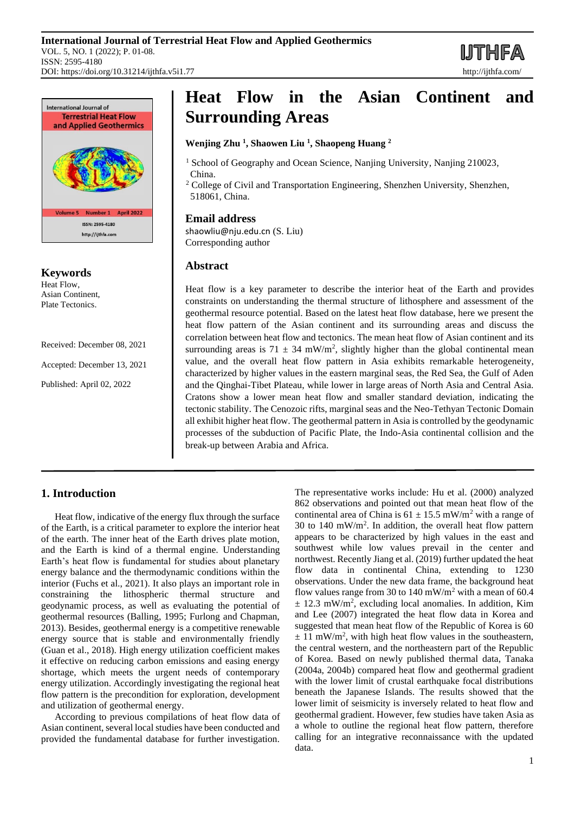**IJTHFA** 



**Keywords** Heat Flow, Asian Continent, Plate Tectonics.

Received: December 08, 2021

Accepted: December 13, 2021

Published: April 02, 2022

# **Heat Flow in the Asian Continent and Surrounding Areas**

## **Wenjing Zhu <sup>1</sup> , Shaowen Liu <sup>1</sup> , Shaopeng Huang <sup>2</sup>**

- <sup>1</sup> School of Geography and Ocean Science, Nanjing University, Nanjing 210023, China.
- $2$  College of Civil and Transportation Engineering, Shenzhen University, Shenzhen, 518061, China.

## **Email address**

[shaowliu@nju.edu.cn](mailto:shaowliu@nju.edu.cn) (S. Liu) Corresponding author

## **Abstract**

Heat flow is a key parameter to describe the interior heat of the Earth and provides constraints on understanding the thermal structure of lithosphere and assessment of the geothermal resource potential. Based on the latest heat flow database, here we present the heat flow pattern of the Asian continent and its surrounding areas and discuss the correlation between heat flow and tectonics. The mean heat flow of Asian continent and its surrounding areas is  $71 \pm 34$  mW/m<sup>2</sup>, slightly higher than the global continental mean value, and the overall heat flow pattern in Asia exhibits remarkable heterogeneity, characterized by higher values in the eastern marginal seas, the Red Sea, the Gulf of Aden and the Qinghai-Tibet Plateau, while lower in large areas of North Asia and Central Asia. Cratons show a lower mean heat flow and smaller standard deviation, indicating the tectonic stability. The Cenozoic rifts, marginal seas and the Neo-Tethyan Tectonic Domain all exhibit higher heat flow. The geothermal pattern in Asia is controlled by the geodynamic processes of the subduction of Pacific Plate, the Indo-Asia continental collision and the break-up between Arabia and Africa.

## **1. Introduction**

Heat flow, indicative of the energy flux through the surface of the Earth, is a critical parameter to explore the interior heat of the earth. The inner heat of the Earth drives plate motion, and the Earth is kind of a thermal engine. Understanding Earth's heat flow is fundamental for studies about planetary energy balance and the thermodynamic conditions within the interior (Fuchs et al., 2021). It also plays an important role in constraining the lithospheric thermal structure and geodynamic process, as well as evaluating the potential of geothermal resources (Balling, 1995; Furlong and Chapman, 2013). Besides, geothermal energy is a competitive renewable energy source that is stable and environmentally friendly (Guan et al., 2018). High energy utilization coefficient makes it effective on reducing carbon emissions and easing energy shortage, which meets the urgent needs of contemporary energy utilization. Accordingly investigating the regional heat flow pattern is the precondition for exploration, development and utilization of geothermal energy.

According to previous compilations of heat flow data of Asian continent, several local studies have been conducted and provided the fundamental database for further investigation. The representative works include: Hu et al. (2000) analyzed 862 observations and pointed out that mean heat flow of the continental area of China is  $61 \pm 15.5$  mW/m<sup>2</sup> with a range of 30 to  $140 \text{ mW/m}^2$ . In addition, the overall heat flow pattern appears to be characterized by high values in the east and southwest while low values prevail in the center and northwest. Recently Jiang et al. (2019) further updated the heat flow data in continental China, extending to 1230 observations. Under the new data frame, the background heat flow values range from 30 to 140 mW/m<sup>2</sup> with a mean of 60.4  $\pm$  12.3 mW/m<sup>2</sup>, excluding local anomalies. In addition, Kim and Lee (2007) integrated the heat flow data in Korea and suggested that mean heat flow of the Republic of Korea is 60  $\pm$  11 mW/m<sup>2</sup>, with high heat flow values in the southeastern, the central western, and the northeastern part of the Republic of Korea. Based on newly published thermal data, Tanaka (2004a, 2004b) compared heat flow and geothermal gradient with the lower limit of crustal earthquake focal distributions beneath the Japanese Islands. The results showed that the lower limit of seismicity is inversely related to heat flow and geothermal gradient. However, few studies have taken Asia as a whole to outline the regional heat flow pattern, therefore calling for an integrative reconnaissance with the updated data.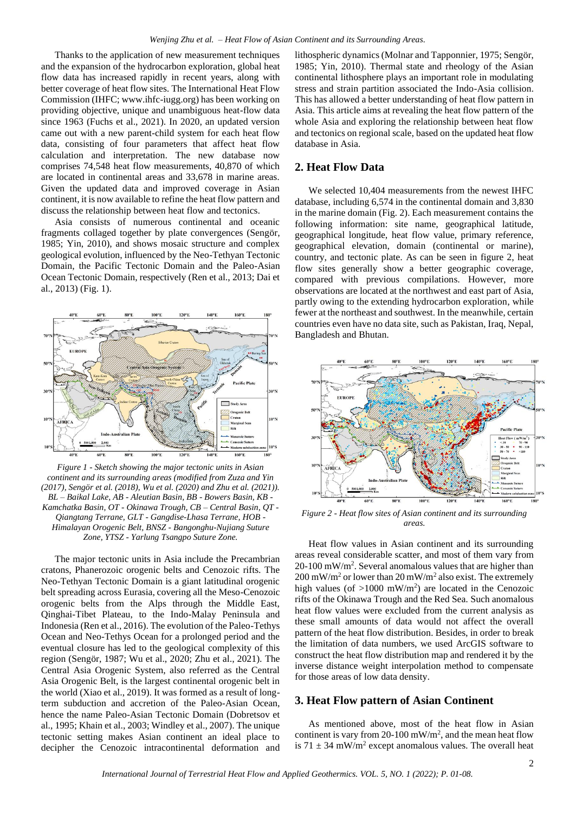Thanks to the application of new measurement techniques and the expansion of the hydrocarbon exploration, global heat flow data has increased rapidly in recent years, along with better coverage of heat flow sites. The International Heat Flow Commission (IHFC; www.ihfc-iugg.org) has been working on providing objective, unique and unambiguous heat-flow data since 1963 (Fuchs et al., 2021). In 2020, an updated version came out with a new parent-child system for each heat flow data, consisting of four parameters that affect heat flow calculation and interpretation. The new database now comprises 74,548 heat flow measurements, 40,870 of which are located in continental areas and 33,678 in marine areas. Given the updated data and improved coverage in Asian continent, it is now available to refine the heat flow pattern and discuss the relationship between heat flow and tectonics.

Asia consists of numerous continental and oceanic fragments collaged together by plate convergences (Sengör, 1985; Yin, 2010), and shows mosaic structure and complex geological evolution, influenced by the Neo-Tethyan Tectonic Domain, the Pacific Tectonic Domain and the Paleo-Asian Ocean Tectonic Domain, respectively (Ren et al., 2013; Dai et al., 2013) (Fig. 1).



*Figure 1 - Sketch showing the major tectonic units in Asian continent and its surrounding areas (modified from Zuza and Yin (2017), Sengör et al. (2018), Wu et al. (2020) and Zhu et al. (2021)). BL – Baikal Lake, AB - Aleutian Basin, BB - Bowers Basin, KB - Kamchatka Basin, OT - Okinawa Trough, CB – Central Basin, QT - Qiangtang Terrane, GLT - Gangdise-Lhasa Terrane, HOB - Himalayan Orogenic Belt, BNSZ - Bangonghu-Nujiang Suture Zone, YTSZ - Yarlung Tsangpo Suture Zone.*

The major tectonic units in Asia include the Precambrian cratons, Phanerozoic orogenic belts and Cenozoic rifts. The Neo-Tethyan Tectonic Domain is a giant latitudinal orogenic belt spreading across Eurasia, covering all the Meso-Cenozoic orogenic belts from the Alps through the Middle East, Qinghai-Tibet Plateau, to the Indo-Malay Peninsula and Indonesia (Ren et al., 2016). The evolution of the Paleo-Tethys Ocean and Neo-Tethys Ocean for a prolonged period and the eventual closure has led to the geological complexity of this region (Sengör, 1987; Wu et al., 2020; Zhu et al., 2021). The Central Asia Orogenic System, also referred as the Central Asia Orogenic Belt, is the largest continental orogenic belt in the world (Xiao et al., 2019). It was formed as a result of longterm subduction and accretion of the Paleo-Asian Ocean, hence the name Paleo-Asian Tectonic Domain (Dobretsov et al., 1995; Khain et al., 2003; Windley et al., 2007). The unique tectonic setting makes Asian continent an ideal place to decipher the Cenozoic intracontinental deformation and

lithospheric dynamics (Molnar and Tapponnier, 1975; Sengör, 1985; Yin, 2010). Thermal state and rheology of the Asian continental lithosphere plays an important role in modulating stress and strain partition associated the Indo-Asia collision. This has allowed a better understanding of heat flow pattern in Asia. This article aims at revealing the heat flow pattern of the whole Asia and exploring the relationship between heat flow and tectonics on regional scale, based on the updated heat flow database in Asia.

### **2. Heat Flow Data**

We selected 10,404 measurements from the newest IHFC database, including 6,574 in the continental domain and 3,830 in the marine domain (Fig. 2). Each measurement contains the following information: site name, geographical latitude, geographical longitude, heat flow value, primary reference, geographical elevation, domain (continental or marine), country, and tectonic plate. As can be seen in figure 2, heat flow sites generally show a better geographic coverage, compared with previous compilations. However, more observations are located at the northwest and east part of Asia, partly owing to the extending hydrocarbon exploration, while fewer at the northeast and southwest. In the meanwhile, certain countries even have no data site, such as Pakistan, Iraq, Nepal, Bangladesh and Bhutan.



*Figure 2 - Heat flow sites of Asian continent and its surrounding areas.*

Heat flow values in Asian continent and its surrounding areas reveal considerable scatter, and most of them vary from 20-100 mW/m<sup>2</sup> . Several anomalous values that are higher than  $200 \text{ mW/m}^2$  or lower than  $20 \text{ mW/m}^2$  also exist. The extremely high values (of  $>1000$  mW/m<sup>2</sup>) are located in the Cenozoic rifts of the Okinawa Trough and the Red Sea. Such anomalous heat flow values were excluded from the current analysis as these small amounts of data would not affect the overall pattern of the heat flow distribution. Besides, in order to break the limitation of data numbers, we used ArcGIS software to construct the heat flow distribution map and rendered it by the inverse distance weight interpolation method to compensate for those areas of low data density.

#### **3. Heat Flow pattern of Asian Continent**

As mentioned above, most of the heat flow in Asian continent is vary from  $20-100$  mW/m<sup>2</sup>, and the mean heat flow is  $71 \pm 34$  mW/m<sup>2</sup> except anomalous values. The overall heat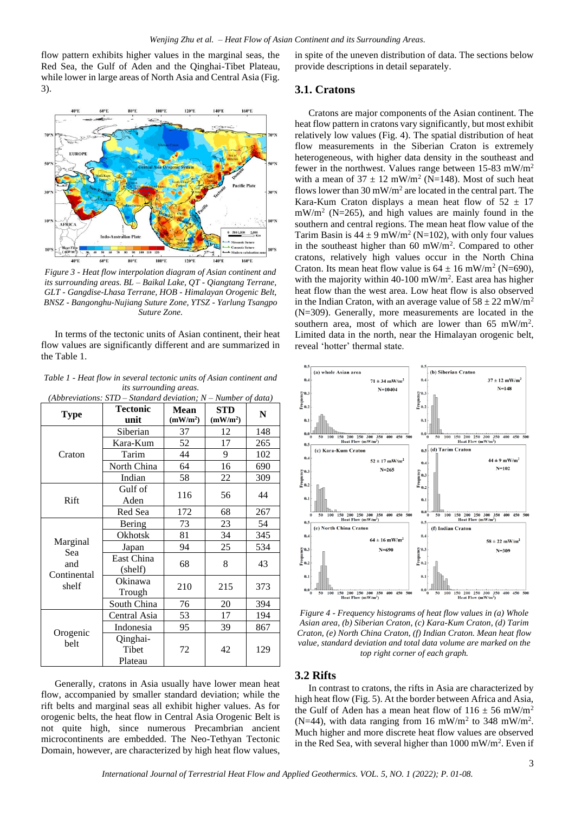flow pattern exhibits higher values in the marginal seas, the Red Sea, the Gulf of Aden and the Qinghai-Tibet Plateau, while lower in large areas of North Asia and Central Asia (Fig. 3).



*Figure 3 - Heat flow interpolation diagram of Asian continent and its surrounding areas. BL – Baikal Lake, QT - Qiangtang Terrane, GLT - Gangdise-Lhasa Terrane, HOB - Himalayan Orogenic Belt, BNSZ - Bangonghu-Nujiang Suture Zone, YTSZ - Yarlung Tsangpo Suture Zone.*

In terms of the tectonic units of Asian continent, their heat flow values are significantly different and are summarized in the Table 1.

*Table 1 - Heat flow in several tectonic units of Asian continent and its surrounding areas.* 

| (Abbreviations: $STD$ – Standard deviation; $N$ – Number of data) |                              |                                     |                                    |     |
|-------------------------------------------------------------------|------------------------------|-------------------------------------|------------------------------------|-----|
| <b>Type</b>                                                       | <b>Tectonic</b><br>unit      | <b>Mean</b><br>(mW/m <sup>2</sup> ) | <b>STD</b><br>(mW/m <sup>2</sup> ) | N   |
| Craton                                                            | Siberian                     | 37                                  | 12                                 | 148 |
|                                                                   | Kara-Kum                     | 52                                  | 17                                 | 265 |
|                                                                   | Tarim                        | 44                                  | 9                                  | 102 |
|                                                                   | North China                  | 64                                  | 16                                 | 690 |
|                                                                   | Indian                       | 58                                  | 22                                 | 309 |
| Rift                                                              | Gulf of<br>Aden              | 116                                 | 56                                 | 44  |
|                                                                   | Red Sea                      | 172                                 | 68                                 | 267 |
| Marginal<br>Sea<br>and<br>Continental<br>shelf                    | Bering                       | 73                                  | 23                                 | 54  |
|                                                                   | Okhotsk                      | 81                                  | 34                                 | 345 |
|                                                                   | Japan                        | 94                                  | 25                                 | 534 |
|                                                                   | East China<br>(shelf)        | 68                                  | 8                                  | 43  |
|                                                                   | Okinawa<br>Trough            | 210                                 | 215                                | 373 |
|                                                                   | South China                  | 76                                  | 20                                 | 394 |
| Orogenic<br>belt                                                  | Central Asia                 | 53                                  | 17                                 | 194 |
|                                                                   | Indonesia                    | 95                                  | 39                                 | 867 |
|                                                                   | Qinghai-<br>Tibet<br>Plateau | 72                                  | 42                                 | 129 |

Generally, cratons in Asia usually have lower mean heat flow, accompanied by smaller standard deviation; while the rift belts and marginal seas all exhibit higher values. As for orogenic belts, the heat flow in Central Asia Orogenic Belt is not quite high, since numerous Precambrian ancient microcontinents are embedded. The Neo-Tethyan Tectonic Domain, however, are characterized by high heat flow values,

in spite of the uneven distribution of data. The sections below provide descriptions in detail separately.

#### **3.1. Cratons**

Cratons are major components of the Asian continent. The heat flow pattern in cratons vary significantly, but most exhibit relatively low values (Fig. 4). The spatial distribution of heat flow measurements in the Siberian Craton is extremely heterogeneous, with higher data density in the southeast and fewer in the northwest. Values range between 15-83 mW/m<sup>2</sup> with a mean of  $37 \pm 12$  mW/m<sup>2</sup> (N=148). Most of such heat flows lower than  $30 \text{ mW/m}^2$  are located in the central part. The Kara-Kum Craton displays a mean heat flow of  $52 \pm 17$  $mW/m^2$  (N=265), and high values are mainly found in the southern and central regions. The mean heat flow value of the Tarim Basin is  $44 \pm 9$  mW/m<sup>2</sup> (N=102), with only four values in the southeast higher than 60 mW/m<sup>2</sup>. Compared to other cratons, relatively high values occur in the North China Craton. Its mean heat flow value is  $64 \pm 16$  mW/m<sup>2</sup> (N=690), with the majority within 40-100 mW/m<sup>2</sup>. East area has higher heat flow than the west area. Low heat flow is also observed in the Indian Craton, with an average value of  $58 \pm 22$  mW/m<sup>2</sup> (N=309). Generally, more measurements are located in the southern area, most of which are lower than 65 mW/m<sup>2</sup>. Limited data in the north, near the Himalayan orogenic belt, reveal 'hotter' thermal state.



*Figure 4 - Frequency histograms of heat flow values in (a) Whole Asian area, (b) Siberian Craton, (c) Kara-Kum Craton, (d) Tarim Craton, (e) North China Craton, (f) Indian Craton. Mean heat flow value, standard deviation and total data volume are marked on the top right corner of each graph.*

## **3.2 Rifts**

In contrast to cratons, the rifts in Asia are characterized by high heat flow (Fig. 5). At the border between Africa and Asia, the Gulf of Aden has a mean heat flow of  $116 \pm 56$  mW/m<sup>2</sup> (N=44), with data ranging from 16 mW/m<sup>2</sup> to 348 mW/m<sup>2</sup>. Much higher and more discrete heat flow values are observed in the Red Sea, with several higher than 1000 mW/m<sup>2</sup>. Even if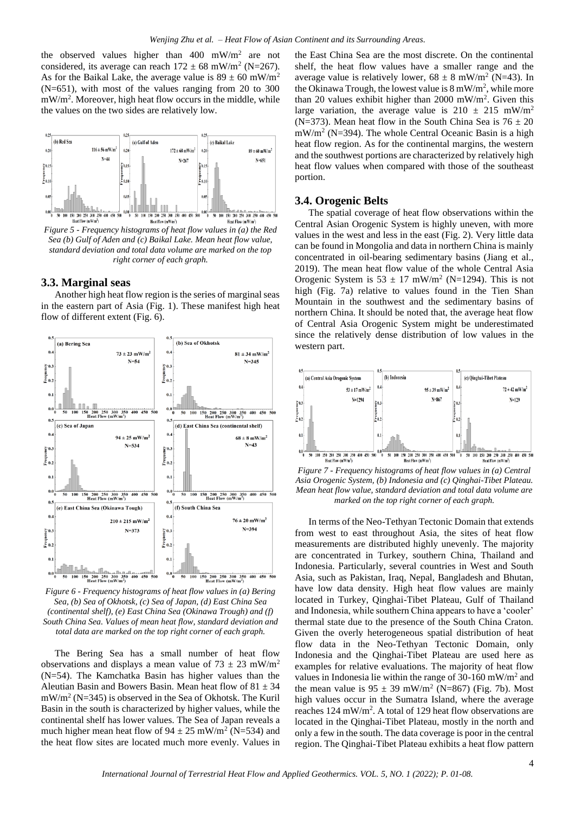the observed values higher than  $400 \, \text{mW/m}^2$  are not considered, its average can reach  $172 \pm 68$  mW/m<sup>2</sup> (N=267). As for the Baikal Lake, the average value is  $89 \pm 60$  mW/m<sup>2</sup> (N=651), with most of the values ranging from 20 to 300 mW/m<sup>2</sup>. Moreover, high heat flow occurs in the middle, while the values on the two sides are relatively low.



*Figure 5 - Frequency histograms of heat flow values in (a) the Red Sea (b) Gulf of Aden and (c) Baikal Lake. Mean heat flow value, standard deviation and total data volume are marked on the top right corner of each graph.*

#### **3.3. Marginal seas**

Another high heat flow region is the series of marginal seas in the eastern part of Asia (Fig. 1). These manifest high heat flow of different extent (Fig. 6).



*Figure 6 - Frequency histograms of heat flow values in (a) Bering Sea, (b) Sea of Okhotsk, (c) Sea of Japan, (d) East China Sea (continental shelf), (e) East China Sea (Okinawa Trough) and (f) South China Sea. Values of mean heat flow, standard deviation and total data are marked on the top right corner of each graph.*

The Bering Sea has a small number of heat flow observations and displays a mean value of  $73 \pm 23$  mW/m<sup>2</sup> (N=54). The Kamchatka Basin has higher values than the Aleutian Basin and Bowers Basin. Mean heat flow of  $81 \pm 34$ mW/m<sup>2</sup> (N=345) is observed in the Sea of Okhotsk. The Kuril Basin in the south is characterized by higher values, while the continental shelf has lower values. The Sea of Japan reveals a much higher mean heat flow of  $94 \pm 25$  mW/m<sup>2</sup> (N=534) and the heat flow sites are located much more evenly. Values in

the East China Sea are the most discrete. On the continental shelf, the heat flow values have a smaller range and the average value is relatively lower,  $68 \pm 8$  mW/m<sup>2</sup> (N=43). In the Okinawa Trough, the lowest value is  $8 \text{ mW/m}^2$ , while more than 20 values exhibit higher than 2000 mW/m<sup>2</sup> . Given this large variation, the average value is  $210 \pm 215$  mW/m<sup>2</sup> (N=373). Mean heat flow in the South China Sea is  $76 \pm 20$ mW/m<sup>2</sup> (N=394). The whole Central Oceanic Basin is a high heat flow region. As for the continental margins, the western and the southwest portions are characterized by relatively high heat flow values when compared with those of the southeast portion.

#### **3.4. Orogenic Belts**

The spatial coverage of heat flow observations within the Central Asian Orogenic System is highly uneven, with more values in the west and less in the east (Fig. 2). Very little data can be found in Mongolia and data in northern China is mainly concentrated in oil-bearing sedimentary basins (Jiang et al., 2019). The mean heat flow value of the whole Central Asia Orogenic System is  $53 \pm 17$  mW/m<sup>2</sup> (N=1294). This is not high (Fig. 7a) relative to values found in the Tien Shan Mountain in the southwest and the sedimentary basins of northern China. It should be noted that, the average heat flow of Central Asia Orogenic System might be underestimated since the relatively dense distribution of low values in the western part.



*Figure 7 - Frequency histograms of heat flow values in (a) Central Asia Orogenic System, (b) Indonesia and (c) Qinghai-Tibet Plateau. Mean heat flow value, standard deviation and total data volume are marked on the top right corner of each graph.*

In terms of the Neo-Tethyan Tectonic Domain that extends from west to east throughout Asia, the sites of heat flow measurements are distributed highly unevenly. The majority are concentrated in Turkey, southern China, Thailand and Indonesia. Particularly, several countries in West and South Asia, such as Pakistan, Iraq, Nepal, Bangladesh and Bhutan, have low data density. High heat flow values are mainly located in Turkey, Qinghai-Tibet Plateau, Gulf of Thailand and Indonesia, while southern China appears to have a 'cooler' thermal state due to the presence of the South China Craton. Given the overly heterogeneous spatial distribution of heat flow data in the Neo-Tethyan Tectonic Domain, only Indonesia and the Qinghai-Tibet Plateau are used here as examples for relative evaluations. The majority of heat flow values in Indonesia lie within the range of  $30-160$  mW/m<sup>2</sup> and the mean value is  $95 \pm 39$  mW/m<sup>2</sup> (N=867) (Fig. 7b). Most high values occur in the Sumatra Island, where the average reaches 124 mW/m<sup>2</sup>. A total of 129 heat flow observations are located in the Qinghai-Tibet Plateau, mostly in the north and only a few in the south. The data coverage is poor in the central region. The Qinghai-Tibet Plateau exhibits a heat flow pattern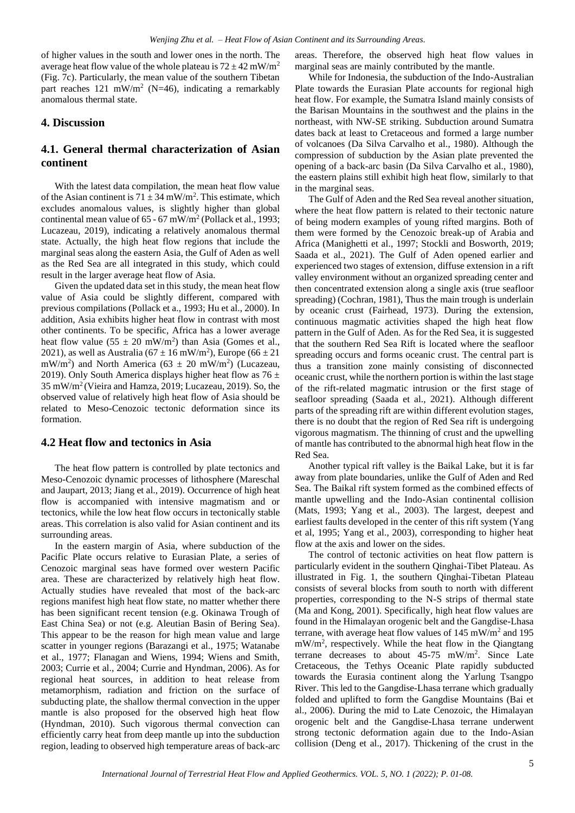of higher values in the south and lower ones in the north. The average heat flow value of the whole plateau is  $72 \pm 42$  mW/m<sup>2</sup> (Fig. 7c). Particularly, the mean value of the southern Tibetan part reaches  $121 \text{ mW/m}^2$  (N=46), indicating a remarkably anomalous thermal state.

## **4. Discussion**

## **4.1. General thermal characterization of Asian continent**

With the latest data compilation, the mean heat flow value of the Asian continent is  $71 \pm 34$  mW/m<sup>2</sup>. This estimate, which excludes anomalous values, is slightly higher than global continental mean value of  $65 - 67$  mW/m<sup>2</sup> (Pollack et al., 1993; Lucazeau, 2019), indicating a relatively anomalous thermal state. Actually, the high heat flow regions that include the marginal seas along the eastern Asia, the Gulf of Aden as well as the Red Sea are all integrated in this study, which could result in the larger average heat flow of Asia.

Given the updated data set in this study, the mean heat flow value of Asia could be slightly different, compared with previous compilations (Pollack et a., 1993; Hu et al., 2000). In addition, Asia exhibits higher heat flow in contrast with most other continents. To be specific, Africa has a lower average heat flow value  $(55 \pm 20 \text{ mW/m}^2)$  than Asia (Gomes et al., 2021), as well as Australia ( $67 \pm 16$  mW/m<sup>2</sup>), Europe ( $66 \pm 21$ ) mW/m<sup>2</sup>) and North America (63  $\pm$  20 mW/m<sup>2</sup>) (Lucazeau, 2019). Only South America displays higher heat flow as  $76 \pm$ 35 mW/m<sup>2</sup>(Vieira and Hamza, 2019; Lucazeau, 2019). So, the observed value of relatively high heat flow of Asia should be related to Meso-Cenozoic tectonic deformation since its formation.

## **4.2 Heat flow and tectonics in Asia**

The heat flow pattern is controlled by plate tectonics and Meso-Cenozoic dynamic processes of lithosphere (Mareschal and Jaupart, 2013; Jiang et al., 2019). Occurrence of high heat flow is accompanied with intensive magmatism and or tectonics, while the low heat flow occurs in tectonically stable areas. This correlation is also valid for Asian continent and its surrounding areas.

In the eastern margin of Asia, where subduction of the Pacific Plate occurs relative to Eurasian Plate, a series of Cenozoic marginal seas have formed over western Pacific area. These are characterized by relatively high heat flow. Actually studies have revealed that most of the back-arc regions manifest high heat flow state, no matter whether there has been significant recent tension (e.g. Okinawa Trough of East China Sea) or not (e.g. Aleutian Basin of Bering Sea). This appear to be the reason for high mean value and large scatter in younger regions (Barazangi et al., 1975; Watanabe et al., 1977; Flanagan and Wiens, 1994; Wiens and Smith, 2003; Currie et al., 2004; Currie and Hyndman, 2006). As for regional heat sources, in addition to heat release from metamorphism, radiation and friction on the surface of subducting plate, the shallow thermal convection in the upper mantle is also proposed for the observed high heat flow (Hyndman, 2010). Such vigorous thermal convection can efficiently carry heat from deep mantle up into the subduction region, leading to observed high temperature areas of back-arc areas. Therefore, the observed high heat flow values in marginal seas are mainly contributed by the mantle.

While for Indonesia, the subduction of the Indo-Australian Plate towards the Eurasian Plate accounts for regional high heat flow. For example, the Sumatra Island mainly consists of the Barisan Mountains in the southwest and the plains in the northeast, with NW-SE striking. Subduction around Sumatra dates back at least to Cretaceous and formed a large number of volcanoes (Da Silva Carvalho et al., 1980). Although the compression of subduction by the Asian plate prevented the opening of a back-arc basin (Da Silva Carvalho et al., 1980), the eastern plains still exhibit high heat flow, similarly to that in the marginal seas.

The Gulf of Aden and the Red Sea reveal another situation, where the heat flow pattern is related to their tectonic nature of being modern examples of young rifted margins. Both of them were formed by the Cenozoic break-up of Arabia and Africa (Manighetti et al., 1997; Stockli and Bosworth, 2019; Saada et al., 2021). The Gulf of Aden opened earlier and experienced two stages of extension, diffuse extension in a rift valley environment without an organized spreading center and then concentrated extension along a single axis (true seafloor spreading) (Cochran, 1981), Thus the main trough is underlain by oceanic crust (Fairhead, 1973). During the extension, continuous magmatic activities shaped the high heat flow pattern in the Gulf of Aden. As for the Red Sea, it is suggested that the southern Red Sea Rift is located where the seafloor spreading occurs and forms oceanic crust. The central part is thus a transition zone mainly consisting of disconnected oceanic crust, while the northern portion is within the last stage of the rift-related magmatic intrusion or the first stage of seafloor spreading (Saada et al., 2021). Although different parts of the spreading rift are within different evolution stages, there is no doubt that the region of Red Sea rift is undergoing vigorous magmatism. The thinning of crust and the upwelling of mantle has contributed to the abnormal high heat flow in the Red Sea.

Another typical rift valley is the Baikal Lake, but it is far away from plate boundaries, unlike the Gulf of Aden and Red Sea. The Baikal rift system formed as the combined effects of mantle upwelling and the Indo-Asian continental collision (Mats, 1993; Yang et al., 2003). The largest, deepest and earliest faults developed in the center of this rift system (Yang et al, 1995; Yang et al., 2003), corresponding to higher heat flow at the axis and lower on the sides.

The control of tectonic activities on heat flow pattern is particularly evident in the southern Qinghai-Tibet Plateau. As illustrated in Fig. 1, the southern Qinghai-Tibetan Plateau consists of several blocks from south to north with different properties, corresponding to the N-S strips of thermal state (Ma and Kong, 2001). Specifically, high heat flow values are found in the Himalayan orogenic belt and the Gangdise-Lhasa terrane, with average heat flow values of  $145 \text{ mW/m}^2$  and  $195$ mW/m<sup>2</sup> , respectively. While the heat flow in the Qiangtang terrane decreases to about 45-75 mW/m<sup>2</sup> . Since Late Cretaceous, the Tethys Oceanic Plate rapidly subducted towards the Eurasia continent along the Yarlung Tsangpo River. This led to the Gangdise-Lhasa terrane which gradually folded and uplifted to form the Gangdise Mountains (Bai et al., 2006). During the mid to Late Cenozoic, the Himalayan orogenic belt and the Gangdise-Lhasa terrane underwent strong tectonic deformation again due to the Indo-Asian collision (Deng et al., 2017). Thickening of the crust in the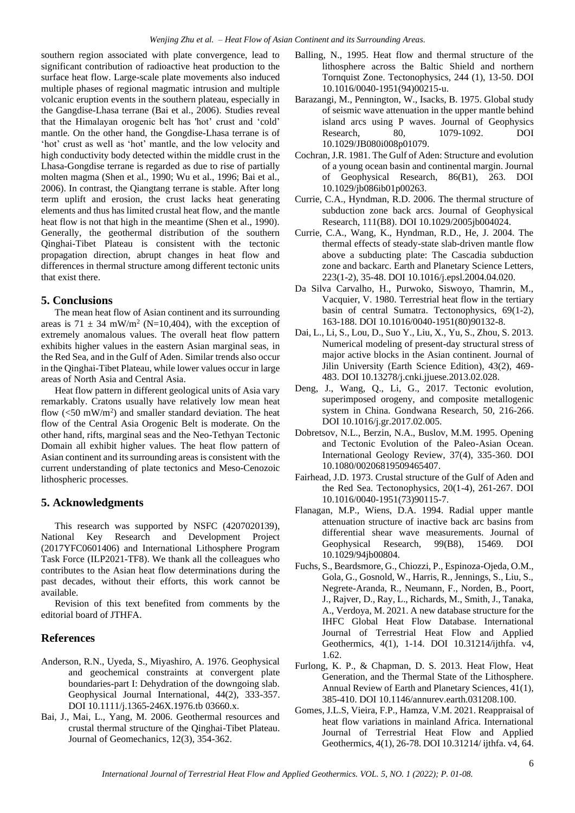southern region associated with plate convergence, lead to significant contribution of radioactive heat production to the surface heat flow. Large-scale plate movements also induced multiple phases of regional magmatic intrusion and multiple volcanic eruption events in the southern plateau, especially in the Gangdise-Lhasa terrane (Bai et al., 2006). Studies reveal that the Himalayan orogenic belt has 'hot' crust and 'cold' mantle. On the other hand, the Gongdise-Lhasa terrane is of 'hot' crust as well as 'hot' mantle, and the low velocity and high conductivity body detected within the middle crust in the Lhasa-Gongdise terrane is regarded as due to rise of partially molten magma (Shen et al., 1990; Wu et al., 1996; Bai et al., 2006). In contrast, the Qiangtang terrane is stable. After long term uplift and erosion, the crust lacks heat generating elements and thus has limited crustal heat flow, and the mantle heat flow is not that high in the meantime (Shen et al., 1990). Generally, the geothermal distribution of the southern Qinghai-Tibet Plateau is consistent with the tectonic propagation direction, abrupt changes in heat flow and differences in thermal structure among different tectonic units that exist there.

#### **5. Conclusions**

The mean heat flow of Asian continent and its surrounding areas is  $71 \pm 34$  mW/m<sup>2</sup> (N=10,404), with the exception of extremely anomalous values. The overall heat flow pattern exhibits higher values in the eastern Asian marginal seas, in the Red Sea, and in the Gulf of Aden. Similar trends also occur in the Qinghai-Tibet Plateau, while lower values occur in large areas of North Asia and Central Asia.

Heat flow pattern in different geological units of Asia vary remarkably. Cratons usually have relatively low mean heat flow  $(<50 \text{ mW/m}^2$ ) and smaller standard deviation. The heat flow of the Central Asia Orogenic Belt is moderate. On the other hand, rifts, marginal seas and the Neo-Tethyan Tectonic Domain all exhibit higher values. The heat flow pattern of Asian continent and its surrounding areas is consistent with the current understanding of plate tectonics and Meso-Cenozoic lithospheric processes.

#### **5. Acknowledgments**

This research was supported by NSFC (4207020139), National Key Research and Development Project (2017YFC0601406) and International Lithosphere Program Task Force (ILP2021-TF8). We thank all the colleagues who contributes to the Asian heat flow determinations during the past decades, without their efforts, this work cannot be available.

Revision of this text benefited from comments by the editorial board of JTHFA.

## **References**

- Anderson, R.N., Uyeda, S., Miyashiro, A. 1976. Geophysical and geochemical constraints at convergent plate boundaries-part I: Dehydration of the downgoing slab. Geophysical Journal International, 44(2), 333-357. DOI 10.1111/j.1365-246X.1976.tb 03660.x.
- Bai, J., Mai, L., Yang, M. 2006. Geothermal resources and crustal thermal structure of the Qinghai-Tibet Plateau. Journal of Geomechanics, 12(3), 354-362.
- Balling, N., 1995. Heat flow and thermal structure of the lithosphere across the Baltic Shield and northern Tornquist Zone. Tectonophysics, 244 (1), 13-50. DOI 10.1016/0040-1951(94)00215-u.
- Barazangi, M., Pennington, W., Isacks, B. 1975. Global study of seismic wave attenuation in the upper mantle behind island arcs using P waves. Journal of Geophysics Research, 80, 1079-1092. DOI 10.1029/JB080i008p01079.
- Cochran, J.R. 1981. The Gulf of Aden: Structure and evolution of a young ocean basin and continental margin. Journal of Geophysical Research, 86(B1), 263. DOI 10.1029/jb086ib01p00263.
- Currie, C.A., Hyndman, R.D. 2006. The thermal structure of subduction zone back arcs. Journal of Geophysical Research, 111(B8). DOI 10.1029/2005jb004024.
- Currie, C.A., Wang, K., Hyndman, R.D., He, J. 2004. The thermal effects of steady-state slab-driven mantle flow above a subducting plate: The Cascadia subduction zone and backarc. Earth and Planetary Science Letters, 223(1-2), 35-48. DOI 10.1016/j.epsl.2004.04.020.
- Da Silva Carvalho, H., Purwoko, Siswoyo, Thamrin, M., Vacquier, V. 1980. Terrestrial heat flow in the tertiary basin of central Sumatra. Tectonophysics, 69(1-2), 163-188. DOI 10.1016/0040-1951(80)90132-8.
- Dai, L., Li, S., Lou, D., Suo Y., Liu, X., Yu, S., Zhou, S. 2013. Numerical modeling of present-day structural stress of major active blocks in the Asian continent. Journal of Jilin University (Earth Science Edition), 43(2), 469- 483. DOI 10.13278/j.cnki.jjuese.2013.02.028.
- Deng, J., Wang, Q., Li, G., 2017. Tectonic evolution, superimposed orogeny, and composite metallogenic system in China. Gondwana Research, 50, 216-266. DOI 10.1016/j.gr.2017.02.005.
- Dobretsov, N.L., Berzin, N.A., Buslov, M.M. 1995. Opening and Tectonic Evolution of the Paleo-Asian Ocean. International Geology Review, 37(4), 335-360. DOI 10.1080/00206819509465407.
- Fairhead, J.D. 1973. Crustal structure of the Gulf of Aden and the Red Sea. Tectonophysics, 20(1-4), 261-267. DOI 10.1016/0040-1951(73)90115-7.
- Flanagan, M.P., Wiens, D.A. 1994. Radial upper mantle attenuation structure of inactive back arc basins from differential shear wave measurements. Journal of Geophysical Research, 99(B8), 15469. DOI 10.1029/94jb00804.
- Fuchs, S., Beardsmore, G., Chiozzi, P., Espinoza-Ojeda, O.M., Gola, G., Gosnold, W., Harris, R., Jennings, S., Liu, S., Negrete-Aranda, R., Neumann, F., Norden, B., Poort, J., Rajver, D., Ray, L., Richards, M., Smith, J., Tanaka, A., Verdoya, M. 2021. A new database structure for the IHFC Global Heat Flow Database. International Journal of Terrestrial Heat Flow and Applied Geothermics, 4(1), 1-14. DOI 10.31214/ijthfa. v4, 1.62.
- Furlong, K. P., & Chapman, D. S. 2013. Heat Flow, Heat Generation, and the Thermal State of the Lithosphere. Annual Review of Earth and Planetary Sciences, 41(1), 385-410. DOI 10.1146/annurev.earth.031208.100.
- Gomes, J.L.S, Vieira, F.P., Hamza, V.M. 2021. Reappraisal of heat flow variations in mainland Africa. International Journal of Terrestrial Heat Flow and Applied Geothermics, 4(1), 26-78. DOI 10.31214/ ijthfa. v4, 64.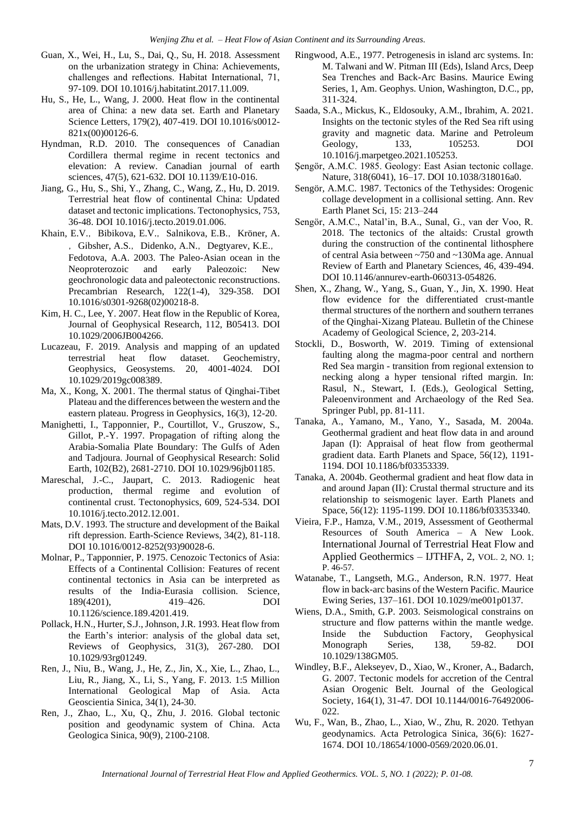- Guan, X., Wei, H., Lu, S., Dai, Q., Su, H. 2018. Assessment on the urbanization strategy in China: Achievements, challenges and reflections. Habitat International, 71, 97-109. DOI 10.1016/j.habitatint.2017.11.009.
- Hu, S., He, L., Wang, J. 2000. Heat flow in the continental area of China: a new data set. Earth and Planetary Science Letters, 179(2), 407-419. DOI 10.1016/s0012- 821x(00)00126-6.
- Hyndman, R.D. 2010. The consequences of Canadian Cordillera thermal regime in recent tectonics and elevation: A review. Canadian journal of earth sciences, 47(5), 621-632. DOI 10.1139/E10-016.
- Jiang, G., Hu, S., Shi, Y., Zhang, C., Wang, Z., Hu, D. 2019. Terrestrial heat flow of continental China: Updated dataset and tectonic implications. Tectonophysics, 753, 36-48. DOI 10.1016/j.tecto.2019.01.006.
- Khain, E.V., Bibikova, E.V., Salnikova, E.B., Kröner, A. , Gibsher, A.S., Didenko, A.N., Degtyarev, K.E., Fedotova, A.A. 2003. The Paleo-Asian ocean in the Neoproterozoic and early Paleozoic: New geochronologic data and paleotectonic reconstructions. Precambrian Research, 122(1-4), 329-358. DOI 10.1016/s0301-9268(02)00218-8.
- Kim, H. C., Lee, Y. 2007. Heat flow in the Republic of Korea, Journal of Geophysical Research, 112, B05413. DOI 10.1029/2006JB004266.
- Lucazeau, F. 2019. Analysis and mapping of an updated terrestrial heat flow dataset. Geochemistry, Geophysics, Geosystems. 20, 4001-4024. DOI 10.1029/2019gc008389.
- Ma, X., Kong, X. 2001. The thermal status of Qinghai-Tibet Plateau and the differences between the western and the eastern plateau. Progress in Geophysics, 16(3), 12-20.
- Manighetti, I., Tapponnier, P., Courtillot, V., Gruszow, S., Gillot, P.-Y. 1997. Propagation of rifting along the Arabia-Somalia Plate Boundary: The Gulfs of Aden and Tadjoura. Journal of Geophysical Research: Solid Earth, 102(B2), 2681-2710. DOI 10.1029/96jb01185.
- Mareschal, J.-C., Jaupart, C. 2013. Radiogenic heat production, thermal regime and evolution of continental crust. Tectonophysics, 609, 524-534. DOI 10.1016/j.tecto.2012.12.001.
- Mats, D.V. 1993. The structure and development of the Baikal rift depression. Earth-Science Reviews, 34(2), 81-118. DOI 10.1016/0012-8252(93)90028-6.
- Molnar, P., Tapponnier, P. 1975. Cenozoic Tectonics of Asia: Effects of a Continental Collision: Features of recent continental tectonics in Asia can be interpreted as results of the India-Eurasia collision. Science, 189(4201), 419–426. DOI 10.1126/science.189.4201.419.
- Pollack, H.N., Hurter, S.J., Johnson, J.R. 1993. Heat flow from the Earth's interior: analysis of the global data set, Reviews of Geophysics, 31(3), 267-280. DOI 10.1029/93rg01249.
- Ren, J., Niu, B., Wang, J., He, Z., Jin, X., Xie, L., Zhao, L., Liu, R., Jiang, X., Li, S., Yang, F. 2013. 1:5 Million International Geological Map of Asia. Acta Geoscientia Sinica, 34(1), 24-30.
- Ren, J., Zhao, L., Xu, Q., Zhu, J. 2016. Global tectonic position and geodynamic system of China. Acta Geologica Sinica, 90(9), 2100-2108.
- Ringwood, A.E., 1977. Petrogenesis in island arc systems. In: M. Talwani and W. Pitman III (Eds), Island Arcs, Deep Sea Trenches and Back-Arc Basins. Maurice Ewing Series, 1, Am. Geophys. Union, Washington, D.C., pp, 311-324.
- Saada, S.A., Mickus, K., Eldosouky, A.M., Ibrahim, A. 2021. Insights on the tectonic styles of the Red Sea rift using gravity and magnetic data. Marine and Petroleum Geology, 133, 105253. DOI 10.1016/j.marpetgeo.2021.105253.
- Şengör, A.M.C. 1985. Geology: East Asian tectonic collage. Nature, 318(6041), 16–17. DOI 10.1038/318016a0.
- Sengör, A.M.C. 1987. Tectonics of the Tethysides: Orogenic collage development in a collisional setting. Ann. Rev Earth Planet Sci, 15: 213–244
- Sengör, A.M.C., Natal'in, B.A., Sunal, G., van der Voo, R. 2018. The tectonics of the altaids: Crustal growth during the construction of the continental lithosphere of central Asia between ~750 and ~130Ma age. Annual Review of Earth and Planetary Sciences, 46, 439-494. DOI 10.1146/annurev-earth-060313-054826.
- Shen, X., Zhang, W., Yang, S., Guan, Y., Jin, X. 1990. Heat flow evidence for the differentiated crust-mantle thermal structures of the northern and southern terranes of the Qinghai-Xizang Plateau. Bulletin of the Chinese Academy of Geological Science, 2, 203-214.
- Stockli, D., Bosworth, W. 2019. Timing of extensional faulting along the magma-poor central and northern Red Sea margin - transition from regional extension to necking along a hyper tensional rifted margin. In: Rasul, N., Stewart, I. (Eds.), Geological Setting, Paleoenvironment and Archaeology of the Red Sea. Springer Publ, pp. 81-111.
- Tanaka, A., Yamano, M., Yano, Y., Sasada, M. 2004a. Geothermal gradient and heat flow data in and around Japan (I): Appraisal of heat flow from geothermal gradient data. Earth Planets and Space, 56(12), 1191- 1194. DOI 10.1186/bf03353339.
- Tanaka, A. 2004b. Geothermal gradient and heat flow data in and around Japan (II): Crustal thermal structure and its relationship to seismogenic layer. Earth Planets and Space, 56(12): 1195-1199. DOI 10.1186/bf03353340.
- Vieira, F.P., Hamza, V.M., 2019, Assessment of Geothermal Resources of South America – A New Look. International Journal of Terrestrial Heat Flow and Applied Geothermics – IJTHFA, 2, VOL. 2, NO. 1; P. 46-57.
- Watanabe, T., Langseth, M.G., Anderson, R.N. 1977. Heat flow in back-arc basins of the Western Pacific. Maurice Ewing Series, 137–161. DOI 10.1029/me001p0137.
- Wiens, D.A., Smith, G.P. 2003. Seismological constrains on structure and flow patterns within the mantle wedge. Inside the Subduction Factory, Geophysical Monograph Series, 138, 59-82. DOI 10.1029/138GM05.
- Windley, B.F., Alekseyev, D., Xiao, W., Kroner, A., Badarch, G. 2007. Tectonic models for accretion of the Central Asian Orogenic Belt. Journal of the Geological Society, 164(1), 31-47. DOI 10.1144/0016-76492006- 022.
- Wu, F., Wan, B., Zhao, L., Xiao, W., Zhu, R. 2020. Tethyan geodynamics. Acta Petrologica Sinica, 36(6): 1627- 1674. DOI 10./18654/1000-0569/2020.06.01.